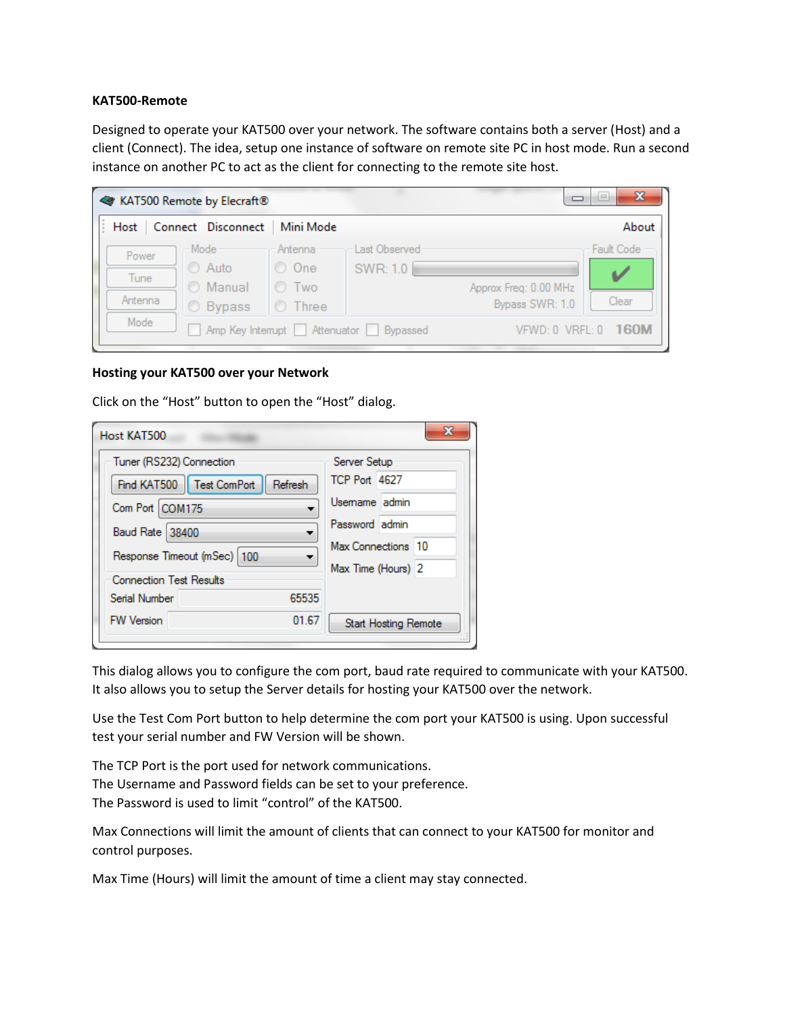## **KAT500-Remote**

Designed to operate your KAT500 over your network. The software contains both a server (Host) and a client (Connect). The idea, setup one instance of software on remote site PC in host mode. Run a second instance on another PC to act as the client for connecting to the remote site host.

|                          | <b>KAT500 Remote by Elecraft®</b>                             |                                                    |                           | $\mathbf{x}$<br>$\equiv$                                        |  |
|--------------------------|---------------------------------------------------------------|----------------------------------------------------|---------------------------|-----------------------------------------------------------------|--|
| Host                     | Connect Disconnect                                            | Mini Mode                                          |                           | About                                                           |  |
| Power<br>Tune<br>Antenna | – Mode ·<br><b>C</b> Auto<br><b>O</b> Manual<br><b>Bypass</b> | Antenna<br>O One<br><b>O</b> Two<br><b>O</b> Three | Last Observed<br>SWR: 1.0 | Fault Code<br>Approx Freq: 0.00 MHz<br>Clear<br>Bypass SWR: 1.0 |  |
| Mode                     | Amp Key Interrupt   Attenuator   Bypassed                     |                                                    |                           | 160M<br>$VFWD:0$ VRFL: $0$                                      |  |

## **Hosting your KAT500 over your Network**

Click on the "Host" button to open the "Host" dialog.

| Host KAT500                                              | x                                        |
|----------------------------------------------------------|------------------------------------------|
| Tuner (RS232) Connection                                 | Server Setup<br>TCP Port 4627            |
| Find KAT500   Test ComPort<br>Refresh<br>Com Port COM175 | Usemame admin                            |
| <b>Baud Rate 38400</b>                                   | Password admin                           |
| Response Timeout (mSec)   100                            | Max Connections 10<br>Max Time (Hours) 2 |
| <b>Connection Test Results</b>                           |                                          |
| 65535<br>Serial Number                                   |                                          |
| 01.67<br><b>FW Version</b>                               | <b>Start Hosting Remote</b>              |

This dialog allows you to configure the com port, baud rate required to communicate with your KAT500. It also allows you to setup the Server details for hosting your KAT500 over the network.

Use the Test Com Port button to help determine the com port your KAT500 is using. Upon successful test your serial number and FW Version will be shown.

The TCP Port is the port used for network communications. The Username and Password fields can be set to your preference. The Password is used to limit "control" of the KAT500.

Max Connections will limit the amount of clients that can connect to your KAT500 for monitor and control purposes.

Max Time (Hours) will limit the amount of time a client may stay connected.